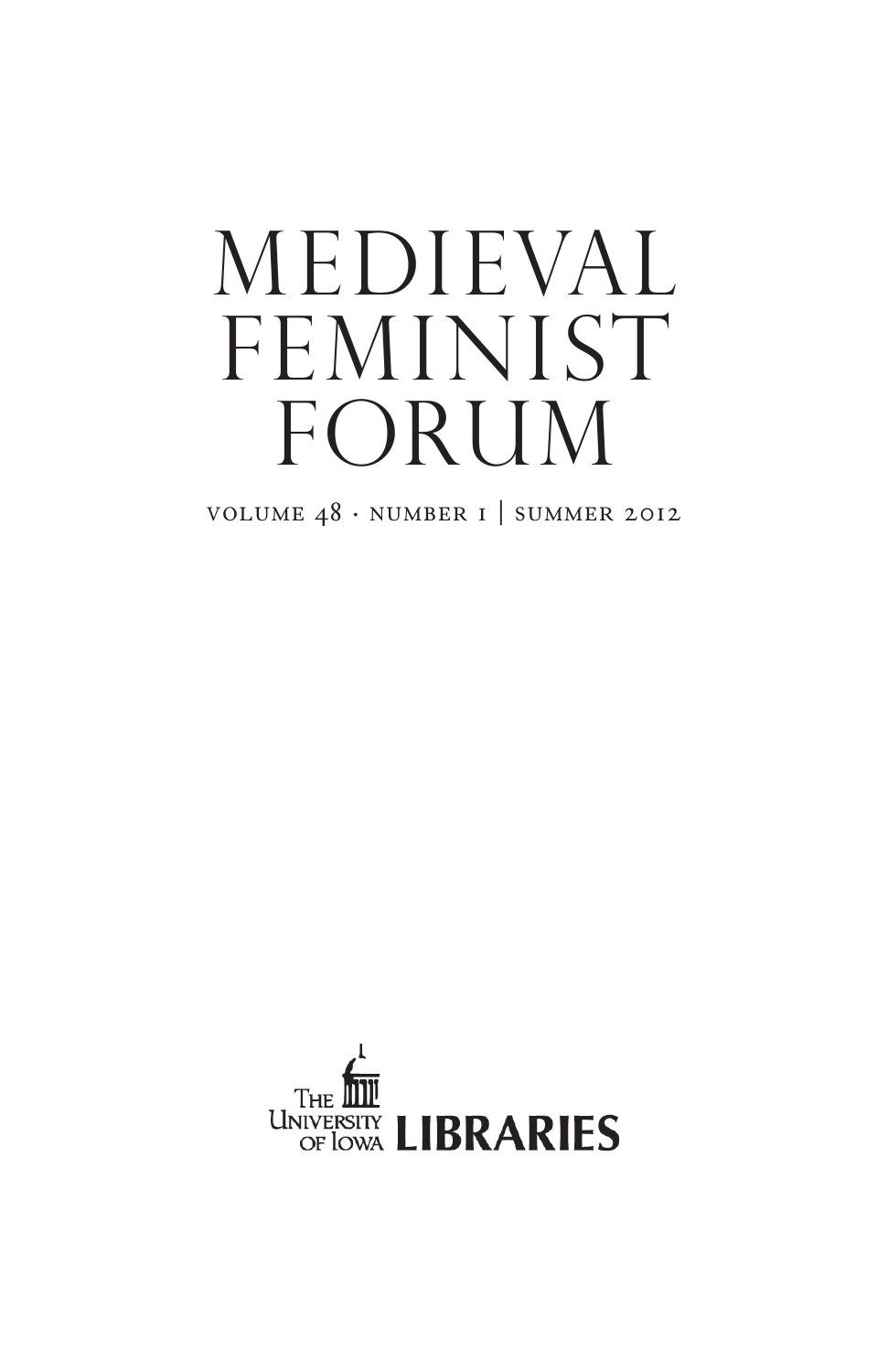# medieval FEMINIST FORUM

volume 48 . number 1 | summer 2012

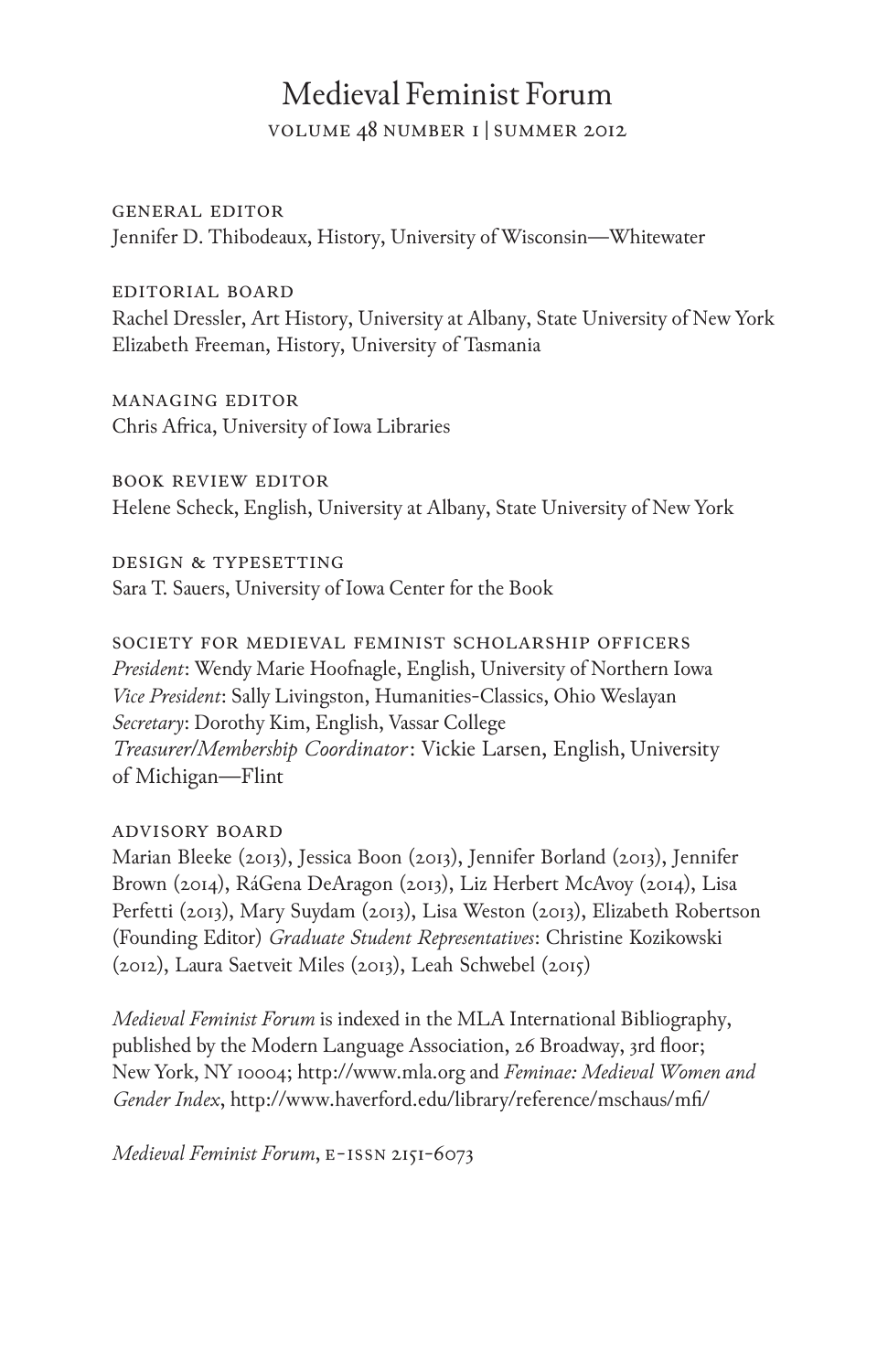### Medieval Feminist Forum

volume 48 number 1 |summer 2012

#### general editor

Jennifer D. Thibodeaux, History, University of Wisconsin—Whitewater

#### editorial board

Rachel Dressler, Art History, University at Albany, State University of New York Elizabeth Freeman, History, University of Tasmania

#### managing editor

Chris Africa, University of Iowa Libraries

book review editor Helene Scheck, English, University at Albany, State University of New York

design & typesetting Sara T. Sauers, University of Iowa Center for the Book

society for medieval feminist scholarship officers *President*: Wendy Marie Hoofnagle, English, University of Northern Iowa *Vice President*: Sally Livingston, Humanities-Classics, Ohio Weslayan *Secretary*: Dorothy Kim, English, Vassar College *Treasurer/Membership Coordinator*: Vickie Larsen, English, University of Michigan—Flint

#### advisory board

Marian Bleeke (2013), Jessica Boon (2013), Jennifer Borland (2013), Jennifer Brown (2014), RáGena DeAragon (2013), Liz Herbert McAvoy (2014), Lisa Perfetti (2013), Mary Suydam (2013), Lisa Weston (2013), Elizabeth Robertson (Founding Editor) *Graduate Student Representatives*: Christine Kozikowski (2012), Laura Saetveit Miles (2013), Leah Schwebel (2015)

*Medieval Feminist Forum* is indexed in the MLA International Bibliography, published by the Modern Language Association, 26 Broadway, 3rd floor; New York, NY 10004; http://www.mla.org and *Feminae: Medieval Women and Gender Index*, http://www.haverford.edu/library/reference/mschaus/mfi/

*Medieval Feminist Forum*, e-issn 2151-6073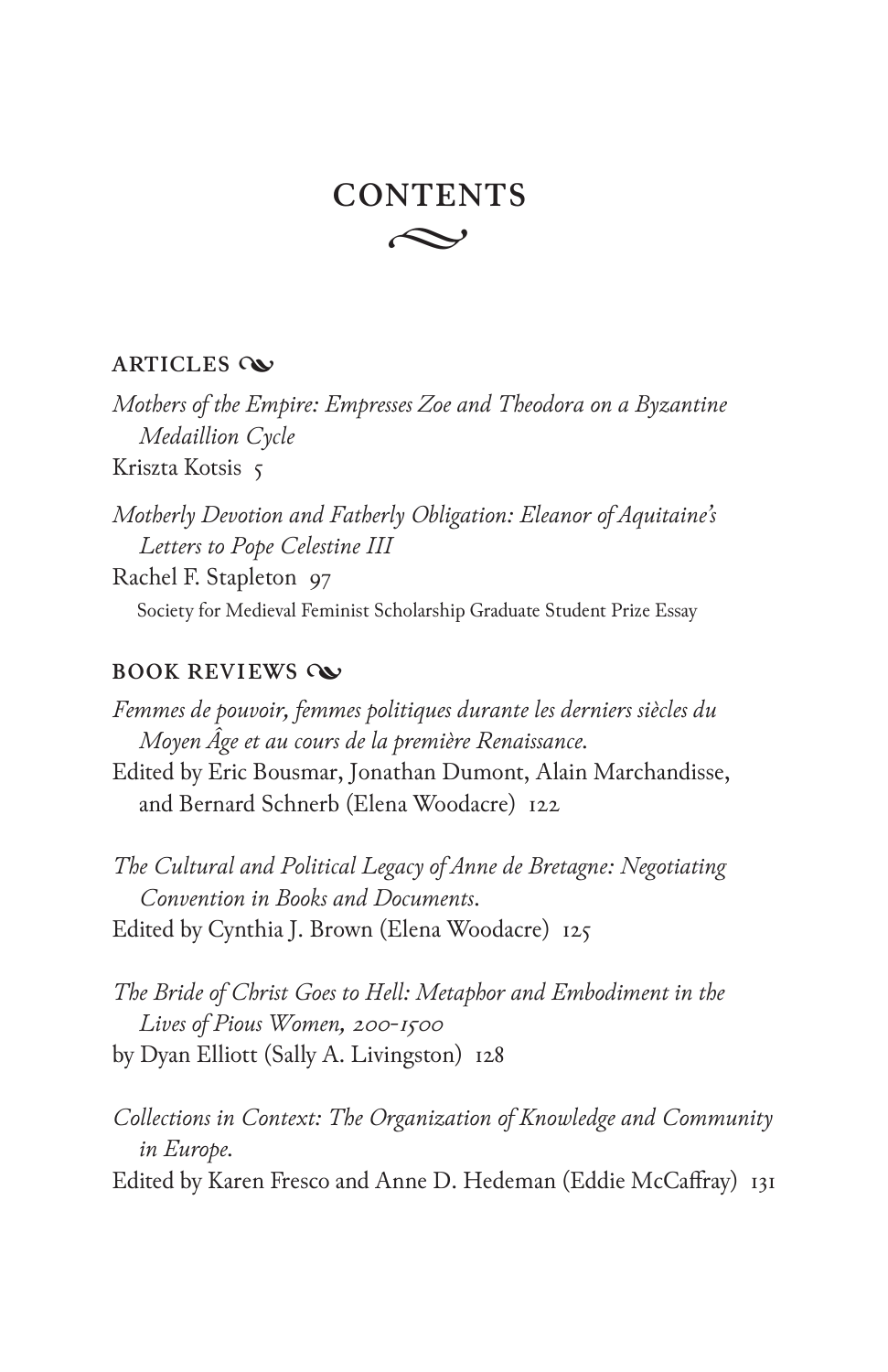## $\curvearrowright$ **CONTENTS**

#### **ARTICLES**

*Mothers of the Empire: Empresses Zoe and Theodora on a Byzantine Medaillion Cycle*

Kriszta Kotsis 5

*Motherly Devotion and Fatherly Obligation: Eleanor of Aquitaine's Letters to Pope Celestine III*

Rachel F. Stapleton 97 Society for Medieval Feminist Scholarship Graduate Student Prize Essay

#### **BOOK REVIEWS**

*Femmes de pouvoir, femmes politiques durante les derniers siècles du Moyen Âge et au cours de la première Renaissance.*

Edited by Eric Bousmar, Jonathan Dumont, Alain Marchandisse, and Bernard Schnerb (Elena Woodacre) 122

*The Cultural and Political Legacy of Anne de Bretagne: Negotiating Convention in Books and Documents*. Edited by Cynthia J. Brown (Elena Woodacre) 125

*The Bride of Christ Goes to Hell: Metaphor and Embodiment in the Lives of Pious Women, 200-1500* by Dyan Elliott (Sally A. Livingston) 128

*Collections in Context: The Organization of Knowledge and Community in Europe.* Edited by Karen Fresco and Anne D. Hedeman (Eddie McCaffray) 131